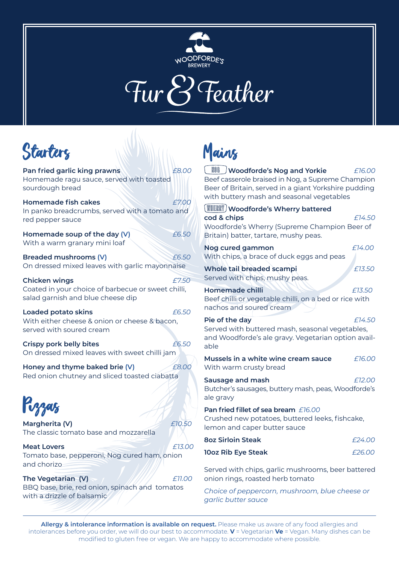

### Fur *P* Feather

### **Starters**

**Pan fried garlic king prawns** *£8.00* Homemade ragu sauce, served with toasted sourdough bread **Homemade fish cakes** *£7.00* In panko breadcrumbs, served with a tomato and red pepper sauce **Homemade soup of the day (V)** *£6.50* With a warm granary mini loaf **Breaded mushrooms (V)** *£6.50* On dressed mixed leaves with garlic mayonnaise **Chicken wings** *£7.50* Coated in your choice of barbecue or sweet chilli, salad garnish and blue cheese dip **Loaded potato skins** *£6.50* With either cheese & onion or cheese & bacon, served with soured cream **Crispy pork belly bites** *£6.50* On dressed mixed leaves with sweet chilli jam **Honey and thyme baked brie (V)** *£8.00* Red onion chutney and sliced toasted ciabatta Pizzas **Margherita (V)** *£10.50* The classic tomato base and mozzarella **Meat Lovers** *ALCONDUCTER <b>A*  $\overline{f}$  *13.000* Tomato base, pepperoni, Nog cured ham, onion and chorizo

**The Vegetarian**  $(V)$   $\sim$   $\frac{1}{2}$   $\frac{1}{2}$   $\frac{1}{2}$   $\frac{1}{2}$   $\frac{1}{2}$   $\frac{1}{2}$   $\frac{1}{2}$   $\frac{1}{2}$   $\frac{1}{2}$   $\frac{1}{2}$   $\frac{1}{2}$   $\frac{1}{2}$   $\frac{1}{2}$   $\frac{1}{2}$   $\frac{1}{2}$   $\frac{1}{2}$   $\frac{1}{2}$   $\frac{1}{2}$   $\frac{1}{2}$   $\frac{$ BBQ base, brie, red onion, spinach and tomatos with a drizzle of balsamic

## Mains

 **Woodforde's Nog and Yorkie** *£16.00* Beef casserole braised in Nog, a Supreme Champion Beer of Britain, served in a giant Yorkshire pudding with buttery mash and seasonal vegetables

 **Woodforde's Wherry battered cod & chips** *£14.50* Woodforde's Wherry (Supreme Champion Beer of Britain) batter, tartare, mushy peas. **Nog cured gammon** *£14.00* With chips, a brace of duck eggs and peas **Whole tail breaded scampi** *£13.50* Served with chips, mushy peas. **Homemade chilli** *£13.50* Beef chilli or vegetable chilli, on a bed or rice with nachos and soured cream

**Pie of the day** *£14.50* Served with buttered mash, seasonal vegetables, and Woodforde's ale gravy. Vegetarian option available

| Mussels in a white wine cream sauce<br>With warm crusty bread                                                                  | £16.00 |
|--------------------------------------------------------------------------------------------------------------------------------|--------|
| Sausage and mash<br>Butcher's sausages, buttery mash, peas, Woodforde's<br>ale gravy                                           | £12.00 |
| <b>Pan fried fillet of sea bream</b> F16.00<br>Crushed new potatoes, buttered leeks, fishcake,<br>lemon and caper butter sauce |        |
| <b>8oz Sirloin Steak</b>                                                                                                       | f24.00 |
| 10oz Rib Eye Steak                                                                                                             | f26.00 |
|                                                                                                                                |        |

Served with chips, garlic mushrooms, beer battered onion rings, roasted herb tomato

*Choice of peppercorn, mushroom, blue cheese or garlic butter sauce*

**Allergy & intolerance information is available on request.** Please make us aware of any food allergies and intolerances before you order, we will do our best to accommodate. **V** = Vegetarian **Ve** = Vegan. Many dishes can be modified to gluten free or vegan. We are happy to accommodate where possible.